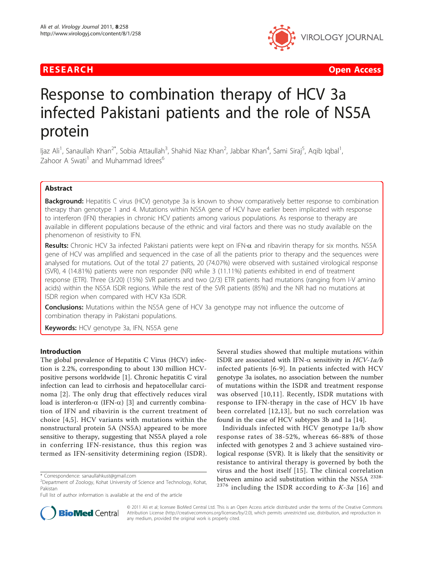

**RESEARCH Open Access Contract Contract Contract Contract Contract Contract Contract Contract Contract Contract Contract Contract Contract Contract Contract Contract Contract Contract Contract Contract Contract Contract** 

# Response to combination therapy of HCV 3a infected Pakistani patients and the role of NS5A protein

ljaz Ali<sup>1</sup>, Sanaullah Khan<sup>2\*</sup>, Sobia Attaullah<sup>3</sup>, Shahid Niaz Khan<sup>2</sup>, Jabbar Khan<sup>4</sup>, Sami Siraj<sup>5</sup>, Aqib Iqbal<sup>1</sup> , Zahoor A Swati<sup>1</sup> and Muhammad Idrees<sup>6</sup>

### Abstract

**Background:** Hepatitis C virus (HCV) genotype 3a is known to show comparatively better response to combination therapy than genotype 1 and 4. Mutations within NS5A gene of HCV have earlier been implicated with response to interferon (IFN) therapies in chronic HCV patients among various populations. As response to therapy are available in different populations because of the ethnic and viral factors and there was no study available on the phenomenon of resistivity to IFN.

Results: Chronic HCV 3a infected Pakistani patients were kept on IFN- $\alpha$  and ribavirin therapy for six months. NS5A gene of HCV was amplified and sequenced in the case of all the patients prior to therapy and the sequences were analysed for mutations. Out of the total 27 patients, 20 (74.07%) were observed with sustained virological response (SVR), 4 (14.81%) patients were non responder (NR) while 3 (11.11%) patients exhibited in end of treatment response (ETR). Three (3/20) (15%) SVR patients and two (2/3) ETR patients had mutations (ranging from I-V amino acids) within the NS5A ISDR regions. While the rest of the SVR patients (85%) and the NR had no mutations at ISDR region when compared with HCV K3a ISDR.

**Conclusions:** Mutations within the NS5A gene of HCV 3a genotype may not influence the outcome of combination therapy in Pakistani populations.

Keywords: HCV genotype 3a, IFN, NS5A gene

### Introduction

The global prevalence of Hepatitis C Virus (HCV) infection is 2.2%, corresponding to about 130 million HCVpositive persons worldwide [[1\]](#page-3-0). Chronic hepatitis C viral infection can lead to cirrhosis and hepatocellular carcinoma [[2\]](#page-3-0). The only drug that effectively reduces viral load is interferon- $\alpha$  (IFN- $\alpha$ ) [[3](#page-3-0)] and currently combination of IFN and ribavirin is the current treatment of choice [\[4,5](#page-3-0)]. HCV variants with mutations within the nonstructural protein 5A (NS5A) appeared to be more sensitive to therapy, suggesting that NS5A played a role in conferring IFN-resistance, thus this region was termed as IFN-sensitivity determining region (ISDR).

Several studies showed that multiple mutations within ISDR are associated with IFN- $\alpha$  sensitivity in HCV-1a/b infected patients [\[6-9\]](#page-4-0). In patients infected with HCV genotype 3a isolates, no association between the number of mutations within the ISDR and treatment response was observed [[10](#page-4-0),[11](#page-4-0)]. Recently, ISDR mutations with response to IFN-therapy in the case of HCV 1b have been correlated [[12](#page-4-0),[13](#page-4-0)], but no such correlation was found in the case of HCV subtypes 3b and 1a [[14](#page-4-0)].

Individuals infected with HCV genotype 1a/b show response rates of 38-52%, whereas 66-88% of those infected with genotypes 2 and 3 achieve sustained virological response (SVR). It is likely that the sensitivity or resistance to antiviral therapy is governed by both the virus and the host itself [[15\]](#page-4-0). The clinical correlation between amino acid substitution within the NS5A <sup>2328-</sup>  $2376$  including the ISDR according to K-3a [[16](#page-4-0)] and



© 2011 Ali et al; licensee BioMed Central Ltd. This is an Open Access article distributed under the terms of the Creative Commons Attribution License [\(http://creativecommons.org/licenses/by/2.0](http://creativecommons.org/licenses/by/2.0)), which permits unrestricted use, distribution, and reproduction in any medium, provided the original work is properly cited.

<sup>\*</sup> Correspondence: [sanaullahkust@gmail.com](mailto:sanaullahkust@gmail.com)

<sup>&</sup>lt;sup>2</sup>Department of Zoology, Kohat University of Science and Technology, Kohat, Pakistan

Full list of author information is available at the end of the article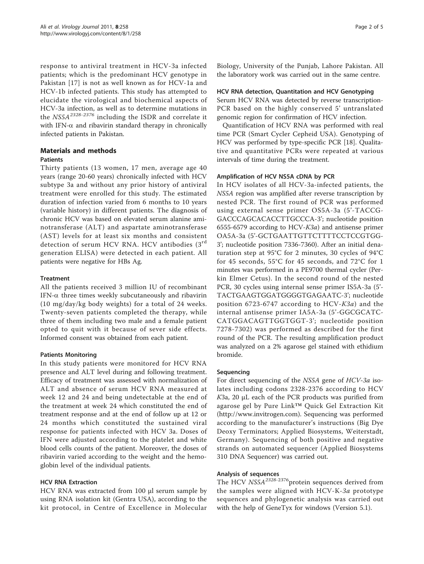response to antiviral treatment in HCV-3a infected patients; which is the predominant HCV genotype in Pakistan [\[17](#page-4-0)] is not as well known as for HCV-1a and HCV-1b infected patients. This study has attempted to elucidate the virological and biochemical aspects of HCV-3a infection, as well as to determine mutations in the  $NSSA^{2328-2376}$  including the ISDR and correlate it with IFN- $\alpha$  and ribavirin standard therapy in chronically infected patients in Pakistan.

#### Materials and methods Patients

Thirty patients (13 women, 17 men, average age 40 years (range 20-60 years) chronically infected with HCV subtype 3a and without any prior history of antiviral treatment were enrolled for this study. The estimated duration of infection varied from 6 months to 10 years (variable history) in different patients. The diagnosis of chronic HCV was based on elevated serum alanine aminotransferase (ALT) and aspartate aminotransferase (AST) levels for at least six months and consistent detection of serum HCV RNA. HCV antibodies (3<sup>rd</sup> generation ELISA) were detected in each patient. All patients were negative for HBs Ag.

#### **Treatment**

All the patients received 3 million IU of recombinant IFN- $\alpha$  three times weekly subcutaneously and ribavirin (10 mg/day/kg body weights) for a total of 24 weeks. Twenty-seven patients completed the therapy, while three of them including two male and a female patient opted to quit with it because of sever side effects. Informed consent was obtained from each patient.

#### Patients Monitoring

In this study patients were monitored for HCV RNA presence and ALT level during and following treatment. Efficacy of treatment was assessed with normalization of ALT and absence of serum HCV RNA measured at week 12 and 24 and being undetectable at the end of the treatment at week 24 which constituted the end of treatment response and at the end of follow up at 12 or 24 months which constituted the sustained viral response for patients infected with HCV 3a. Doses of IFN were adjusted according to the platelet and white blood cells counts of the patient. Moreover, the doses of ribavirin varied according to the weight and the hemoglobin level of the individual patients.

### HCV RNA Extraction

HCV RNA was extracted from 100 μl serum sample by using RNA isolation kit (Gentra USA), according to the kit protocol, in Centre of Excellence in Molecular Biology, University of the Punjab, Lahore Pakistan. All the laboratory work was carried out in the same centre.

#### HCV RNA detection, Quantitation and HCV Genotyping

Serum HCV RNA was detected by reverse transcription-PCR based on the highly conserved 5' untranslated genomic region for confirmation of HCV infection.

Quantification of HCV RNA was performed with real time PCR (Smart Cycler Cepheid USA). Genotyping of HCV was performed by type-specific PCR [\[18\]](#page-4-0). Qualitative and quantitative PCRs were repeated at various intervals of time during the treatment.

#### Amplification of HCV NS5A cDNA by PCR

In HCV isolates of all HCV-3a-infected patients, the NS5A region was amplified after reverse transcription by nested PCR. The first round of PCR was performed using external sense primer OS5A-3a (5'-TACCG-GACCCAGCACACCTTGCCCA-3'; nucleotide position 6555-6579 according to HCV-K3a) and antisense primer OA5A-3a (5'-GCTGAATTGTTCTTTTCCTCCGTGG-3'; nucleotide position 7336-7360). After an initial denaturation step at 95°C for 2 minutes, 30 cycles of 94°C for 45 seconds, 55°C for 45 seconds, and 72°C for 1 minutes was performed in a PE9700 thermal cycler (Perkin Elmer Cetus). In the second round of the nested PCR, 30 cycles using internal sense primer IS5A-3a (5'- TACTGAAGTGGATGGGGTGAGAATC-3'; nucleotide position 6723-6747 according to HCV-K3a) and the internal antisense primer IA5A-3a (5'-GGCGCATC-CATGGACAGTTGGTGGT-3'; nucleotide position 7278-7302) was performed as described for the first round of the PCR. The resulting amplification product was analyzed on a 2% agarose gel stained with ethidium bromide.

#### Sequencing

For direct sequencing of the NS5A gene of HCV-3a isolates including codons 2328-2376 according to HCV K3a, 20 <sup>μ</sup>L each of the PCR products was purified from agarose gel by Pure Link™ Quick Gel Extraction Kit (<http://www.invitrogen.com>). Sequencing was performed according to the manufacturer's instructions (Big Dye Deoxy Terminators; Applied Biosystems, Weiterstadt, Germany). Sequencing of both positive and negative strands on automated sequencer (Applied Biosystems 310 DNA Sequencer) was carried out.

#### Analysis of sequences

The HCV  $NSSA^{2328-2376}$ protein sequences derived from the samples were aligned with HCV-K-3a prototype sequences and phylogenetic analysis was carried out with the help of GeneTyx for windows (Version 5.1).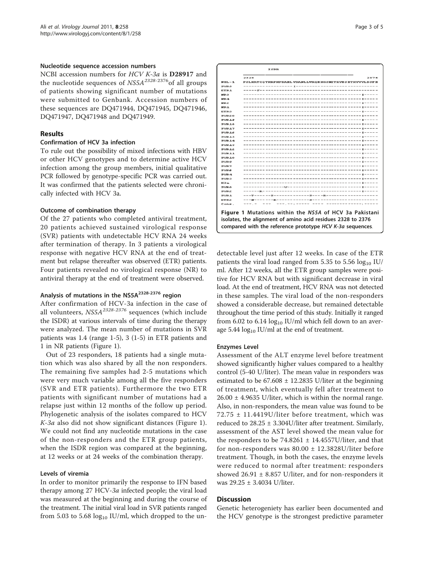#### Nucleotide sequence accession numbers

NCBI accession numbers for HCV K-3a is D28917 and the nucleotide sequences of  $NSSA^{2328-2376}$  of all groups of patients showing significant number of mutations were submitted to Genbank. Accession numbers of these sequences are [DQ471944,](http://www.ncbi.nih.gov/entrez/query.fcgi?db=Nucleotide&cmd=search&term=DQ471944) [DQ471945,](http://www.ncbi.nih.gov/entrez/query.fcgi?db=Nucleotide&cmd=search&term=DQ471945) [DQ471946](http://www.ncbi.nih.gov/entrez/query.fcgi?db=Nucleotide&cmd=search&term=DQ471946), [DQ471947,](http://www.ncbi.nih.gov/entrez/query.fcgi?db=Nucleotide&cmd=search&term=DQ471947) [DQ471948](http://www.ncbi.nih.gov/entrez/query.fcgi?db=Nucleotide&cmd=search&term=DQ471948) and [DQ471949.](http://www.ncbi.nih.gov/entrez/query.fcgi?db=Nucleotide&cmd=search&term=DQ471949)

#### Results

#### Confirmation of HCV 3a infection

To rule out the possibility of mixed infections with HBV or other HCV genotypes and to determine active HCV infection among the group members, initial qualitative PCR followed by genotype-specific PCR was carried out. It was confirmed that the patients selected were chronically infected with HCV 3a.

#### Outcome of combination therapy

Of the 27 patients who completed antiviral treatment, 20 patients achieved sustained virological response (SVR) patients with undetectable HCV RNA 24 weeks after termination of therapy. In 3 patients a virological response with negative HCV RNA at the end of treatment but relapse thereafter was observed (ETR) patients. Four patients revealed no virological response (NR) to antiviral therapy at the end of treatment were observed.

### Analysis of mutations in the NS5A<sup>2328-2376</sup> region

After confirmation of HCV-3a infection in the case of all volunteers,  $NSSA^{2328-2376}$  sequences (which include the ISDR) at various intervals of time during the therapy were analyzed. The mean number of mutations in SVR patients was 1.4 (range 1-5), 3 (1-5) in ETR patients and 1 in NR patients (Figure 1).

Out of 23 responders, 18 patients had a single mutation which was also shared by all the non responders. The remaining five samples had 2-5 mutations which were very much variable among all the five responders (SVR and ETR patients). Furthermore the two ETR patients with significant number of mutations had a relapse just within 12 months of the follow up period. Phylogenetic analysis of the isolates compared to HCV K-3a also did not show significant distances (Figure 1). We could not find any nucleotide mutations in the case of the non-responders and the ETR group patients, when the ISDR region was compared at the beginning, at 12 weeks or at 24 weeks of the combination therapy.

#### Levels of viremia

In order to monitor primarily the response to IFN based therapy among 27 HCV-3a infected people; the viral load was measured at the beginning and during the course of the treatment. The initial viral load in SVR patients ranged from 5.03 to 5.68  $log_{10}$  IU/ml, which dropped to the un-

| 2328<br>2376                                           |
|--------------------------------------------------------|
|                                                        |
| PSLKATCQTHRPHPDAELVDANLLWRQEHGSNITRVESETKVVVLDSFE      |
|                                                        |
|                                                        |
|                                                        |
|                                                        |
| ------------------------<br>------ <i>--------</i> --- |
|                                                        |
|                                                        |
|                                                        |
| --------------------------<br>-----------------        |
|                                                        |
|                                                        |
|                                                        |
| ---------------------<br>-------- <i>---------</i> -   |
|                                                        |
|                                                        |
|                                                        |
|                                                        |
|                                                        |
|                                                        |
|                                                        |
|                                                        |
|                                                        |
|                                                        |
|                                                        |
|                                                        |
|                                                        |
|                                                        |
|                                                        |
|                                                        |
|                                                        |

 $TSDR$ 

detectable level just after 12 weeks. In case of the ETR patients the viral load ranged from 5.35 to 5.56  $log_{10}$  IU/ ml. After 12 weeks, all the ETR group samples were positive for HCV RNA but with significant decrease in viral load. At the end of treatment, HCV RNA was not detected in these samples. The viral load of the non-responders showed a considerable decrease, but remained detectable throughout the time period of this study. Initially it ranged from 6.02 to 6.14  $log_{10}$  IU/ml which fell down to an average 5.44  $log_{10}$  IU/ml at the end of treatment.

#### Enzymes Level

Assessment of the ALT enzyme level before treatment showed significantly higher values compared to a healthy control (5-40 U/liter). The mean value in responders was estimated to be  $67.608 \pm 12.2835$  U/liter at the beginning of treatment, which eventually fell after treatment to  $26.00 \pm 4.9635$  U/liter, which is within the normal range. Also, in non-responders, the mean value was found to be 72.75 ± 11.4419U/liter before treatment, which was reduced to 28.25 ± 3.304U/liter after treatment. Similarly, assessment of the AST level showed the mean value for the responders to be  $74.8261 \pm 14.4557$ U/liter, and that for non-responders was  $80.00 \pm 12.3828$ U/liter before treatment. Though, in both the cases, the enzyme levels were reduced to normal after treatment: responders showed  $26.91 \pm 8.857$  U/liter, and for non-responders it was 29.25 ± 3.4034 U/liter.

#### **Discussion**

Genetic heterogeniety has earlier been documented and the HCV genotype is the strongest predictive parameter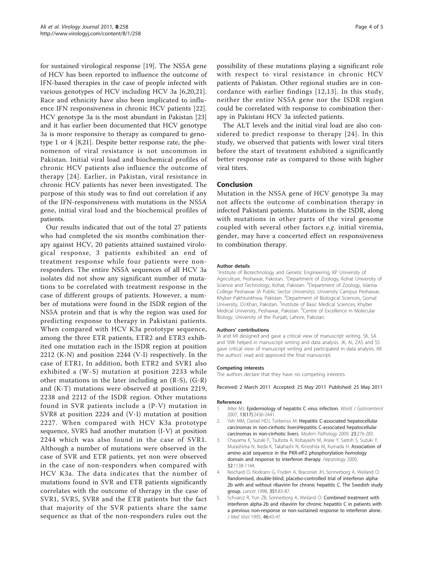<span id="page-3-0"></span>for sustained virological response [\[19](#page-4-0)]. The NS5A gene of HCV has been reported to influence the outcome of IFN-based therapies in the case of people infected with various genotypes of HCV including HCV 3a [\[6](#page-4-0),[20,21](#page-4-0)]. Race and ethnicity have also been implicated to influence IFN responsiveness in chronic HCV patients [[22](#page-4-0)]. HCV genotype 3a is the most abundant in Pakistan [[23](#page-4-0)] and it has earlier been documented that HCV genotype 3a is more responsive to therapy as compared to genotype 1 or 4 [[8,21\]](#page-4-0). Despite better response rate, the phenomenon of viral resistance is not uncommon in Pakistan. Initial viral load and biochemical profiles of chronic HCV patients also influence the outcome of therapy [[24](#page-4-0)]. Earlier, in Pakistan, viral resistance in chronic HCV patients has never been investigated. The purpose of this study was to find out correlation if any of the IFN-responsiveness with mutations in the NS5A gene, initial viral load and the biochemical profiles of patients.

Our results indicated that out of the total 27 patients who had completed the six months combination therapy against HCV, 20 patients attained sustained virological response, 3 patients exhibited an end of treatment response while four patients were nonresponders. The entire NS5A sequences of all HCV 3a isolates did not show any significant number of mutations to be correlated with treatment response in the case of different groups of patients. However, a number of mutations were found in the ISDR region of the NS5A protein and that is why the region was used for predicting response to therapy in Pakistani patients. When compared with HCV K3a prototype sequence, among the three ETR patients, ETR2 and ETR3 exhibited one mutation each in the ISDR region at position 2212 (K-N) and position 2244 (V-I) respectively. In the case of ETR1, In addition, both ETR2 and SVR1 also exhibited a (W-S) mutation at position 2233 while other mutations in the later including an (R-S), (G-R) and (K-T) mutations were observed at positions 2219, 2238 and 2212 of the ISDR region. Other mutations found in SVR patients include a (P-V) mutation in SVR8 at position 2224 and (V-I) mutation at position 2227. When compared with HCV K3a prototype sequence, SVR5 had another mutation (I-V) at position 2244 which was also found in the case of SVR1. Although a number of mutations were observed in the case of SVR and ETR patients, yet non were observed in the case of non-responders when compared with HCV K3a. The data indicates that the number of mutations found in SVR and ETR patients significantly correlates with the outcome of therapy in the case of SVR1, SVR5, SVR8 and the ETR patients but the fact that majority of the SVR patients share the same sequence as that of the non-responders rules out the

possibility of these mutations playing a significant role with respect to viral resistance in chronic HCV patients of Pakistan. Other regional studies are in concordance with earlier findings [[12,13\]](#page-4-0). In this study, neither the entire NS5A gene nor the ISDR region could be correlated with response to combination therapy in Pakistani HCV 3a infected patients.

The ALT levels and the initial viral load are also considered to predict response to therapy [[24\]](#page-4-0). In this study, we observed that patients with lower viral titers before the start of treatment exhibited a significantly better response rate as compared to those with higher viral titers.

#### Conclusion

Mutation in the NS5A gene of HCV genotype 3a may not affects the outcome of combination therapy in infected Pakistani patients. Mutations in the ISDR, along with mutations in other parts of the viral genome coupled with several other factors e.g. initial viremia, gender, may have a concerted effect on responsiveness to combination therapy.

#### Author details

<sup>1</sup>Institute of Biotechnology and Genetic Engineering, KP University of Agriculture, Peshawar, Pakistan. <sup>2</sup>Department of Zoology, Kohat University of Science and Technology, Kohat, Pakistan. <sup>3</sup>Department of Zoology, Islamia College Peshawar (A Public Sector University), University Campus Peshawar, Khyber Pakhtunkhwa, Pakistan. <sup>4</sup>Department of Biological Sciences, Gomal University, D.I.Khan, Pakistan. <sup>5</sup>Institute of Basic Medical Sciences, Khyber Medical University, Peshawar, Pakistan. <sup>6</sup>Centre of Excellence in Molecular Biology, University of the Punjab, Lahore, Pakistan.

#### Authors' contributions

IA and MI designed and gave a critical view of manuscript writing. SK, SA and SNK helped in manuscript writing and data analysis. JK, AI, ZAS and SS gave critical view of manuscript writing and participated in data analysis. All the authors' read and approved the final manuscript.

#### Competing interests

The authors declare that they have no competing interests.

Received: 2 March 2011 Accepted: 25 May 2011 Published: 25 May 2011

#### References

- 1. Alter MJ: [Epidemiology of hepatitis C virus infection.](http://www.ncbi.nlm.nih.gov/pubmed/17552026?dopt=Abstract) World J Gastroenterol 2007, 13(17):2436-2441.
- 2. Yeh MM, Daniel HDJ, Torbenso M: [Hepatitis C-associated hepatocellular](http://www.ncbi.nlm.nih.gov/pubmed/19935643?dopt=Abstract) [carcinomas in non-cirrhotic liversHepatitis C-associated hepatocellular](http://www.ncbi.nlm.nih.gov/pubmed/19935643?dopt=Abstract) [carcinomas in non-cirrhotic livers.](http://www.ncbi.nlm.nih.gov/pubmed/19935643?dopt=Abstract) Modern Pathology 2009, 23:276-283.
- 3. Chayama K, Suzuki F, Tsubota A, Kobayashi M, Arase Y, Saitoh S, Suzuki Y, Murashima N, Ikeda K, Takahashi N, Kinoshita M, Kumada H: [Association of](http://www.ncbi.nlm.nih.gov/pubmed/11050067?dopt=Abstract) [amino acid sequence in the PKR-eIF2 phosphorylation homology](http://www.ncbi.nlm.nih.gov/pubmed/11050067?dopt=Abstract) [domain and response to interferon therapy.](http://www.ncbi.nlm.nih.gov/pubmed/11050067?dopt=Abstract) Hepatology 2000, 32:1138-1144.
- 4. Reichard O, Norkrans G, Fryden A, Braconier JH, Sonnerborg A, Weiland O: [Randomised, double-blind, placebo-controlled trial of interferon alpha-](http://www.ncbi.nlm.nih.gov/pubmed/9439491?dopt=Abstract)[2b with and without ribavirin for chronic hepatitis C. The Swedish study](http://www.ncbi.nlm.nih.gov/pubmed/9439491?dopt=Abstract) [group.](http://www.ncbi.nlm.nih.gov/pubmed/9439491?dopt=Abstract) Lancet 1998, 351:83-87.
- 5. Schvarcz R, Yun ZB, Sonnerborg A, Weiland O: [Combined treatment with](http://www.ncbi.nlm.nih.gov/pubmed/7623006?dopt=Abstract) [interferon alpha-2b and ribavirin for chronic hepatitis C in patients with](http://www.ncbi.nlm.nih.gov/pubmed/7623006?dopt=Abstract) [a previous non-response or non-sustained response to interferon alone.](http://www.ncbi.nlm.nih.gov/pubmed/7623006?dopt=Abstract) J Med Virol 1995, 46:43-47.